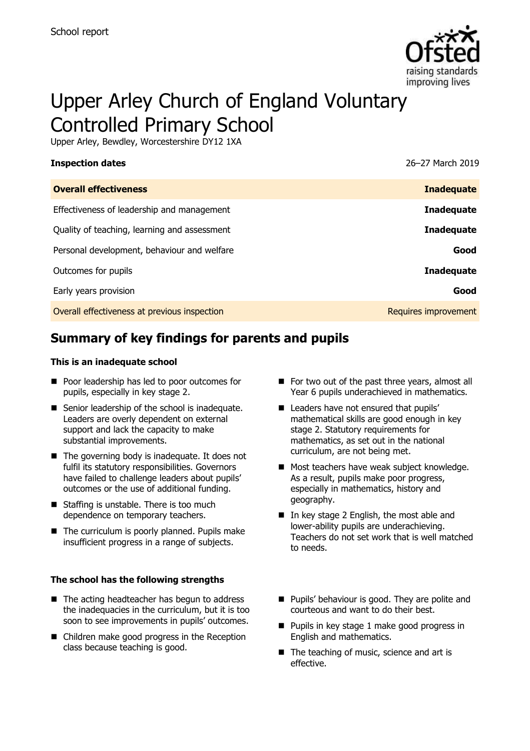

# Upper Arley Church of England Voluntary Controlled Primary School

Upper Arley, Bewdley, Worcestershire DY12 1XA

| <b>Inspection dates</b>                      | 26-27 March 2019     |
|----------------------------------------------|----------------------|
| <b>Overall effectiveness</b>                 | <b>Inadequate</b>    |
| Effectiveness of leadership and management   | <b>Inadequate</b>    |
| Quality of teaching, learning and assessment | <b>Inadequate</b>    |
| Personal development, behaviour and welfare  | Good                 |
| Outcomes for pupils                          | <b>Inadequate</b>    |
| Early years provision                        | Good                 |
| Overall effectiveness at previous inspection | Requires improvement |

# **Summary of key findings for parents and pupils**

#### **This is an inadequate school**

- Poor leadership has led to poor outcomes for pupils, especially in key stage 2.
- Senior leadership of the school is inadequate. Leaders are overly dependent on external support and lack the capacity to make substantial improvements.
- $\blacksquare$  The governing body is inadequate. It does not fulfil its statutory responsibilities. Governors have failed to challenge leaders about pupils' outcomes or the use of additional funding.
- Staffing is unstable. There is too much dependence on temporary teachers.
- The curriculum is poorly planned. Pupils make insufficient progress in a range of subjects.

#### **The school has the following strengths**

- $\blacksquare$  The acting headteacher has begun to address the inadequacies in the curriculum, but it is too soon to see improvements in pupils' outcomes.
- Children make good progress in the Reception class because teaching is good.
- For two out of the past three years, almost all Year 6 pupils underachieved in mathematics.
- Leaders have not ensured that pupils' mathematical skills are good enough in key stage 2. Statutory requirements for mathematics, as set out in the national curriculum, are not being met.
- Most teachers have weak subject knowledge. As a result, pupils make poor progress, especially in mathematics, history and geography.
- In key stage 2 English, the most able and lower-ability pupils are underachieving. Teachers do not set work that is well matched to needs.
- **Pupils' behaviour is good. They are polite and** courteous and want to do their best.
- **Pupils in key stage 1 make good progress in** English and mathematics.
- The teaching of music, science and art is effective.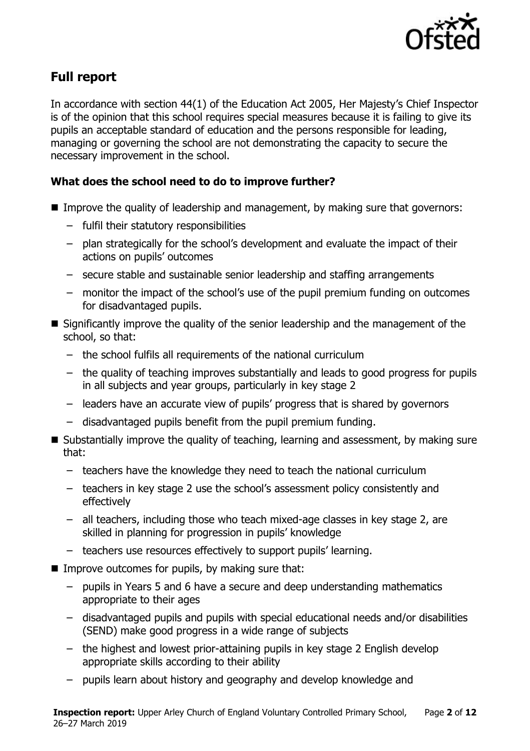

# **Full report**

In accordance with section 44(1) of the Education Act 2005, Her Majesty's Chief Inspector is of the opinion that this school requires special measures because it is failing to give its pupils an acceptable standard of education and the persons responsible for leading, managing or governing the school are not demonstrating the capacity to secure the necessary improvement in the school.

### **What does the school need to do to improve further?**

- Improve the quality of leadership and management, by making sure that governors:
	- fulfil their statutory responsibilities
	- plan strategically for the school's development and evaluate the impact of their actions on pupils' outcomes
	- secure stable and sustainable senior leadership and staffing arrangements
	- monitor the impact of the school's use of the pupil premium funding on outcomes for disadvantaged pupils.
- Significantly improve the quality of the senior leadership and the management of the school, so that:
	- the school fulfils all requirements of the national curriculum
	- the quality of teaching improves substantially and leads to good progress for pupils in all subjects and year groups, particularly in key stage 2
	- leaders have an accurate view of pupils' progress that is shared by governors
	- disadvantaged pupils benefit from the pupil premium funding.
- Substantially improve the quality of teaching, learning and assessment, by making sure that:
	- teachers have the knowledge they need to teach the national curriculum
	- teachers in key stage 2 use the school's assessment policy consistently and effectively
	- all teachers, including those who teach mixed-age classes in key stage 2, are skilled in planning for progression in pupils' knowledge
	- teachers use resources effectively to support pupils' learning.
- $\blacksquare$  Improve outcomes for pupils, by making sure that:
	- pupils in Years 5 and 6 have a secure and deep understanding mathematics appropriate to their ages
	- disadvantaged pupils and pupils with special educational needs and/or disabilities (SEND) make good progress in a wide range of subjects
	- the highest and lowest prior-attaining pupils in key stage 2 English develop appropriate skills according to their ability
	- pupils learn about history and geography and develop knowledge and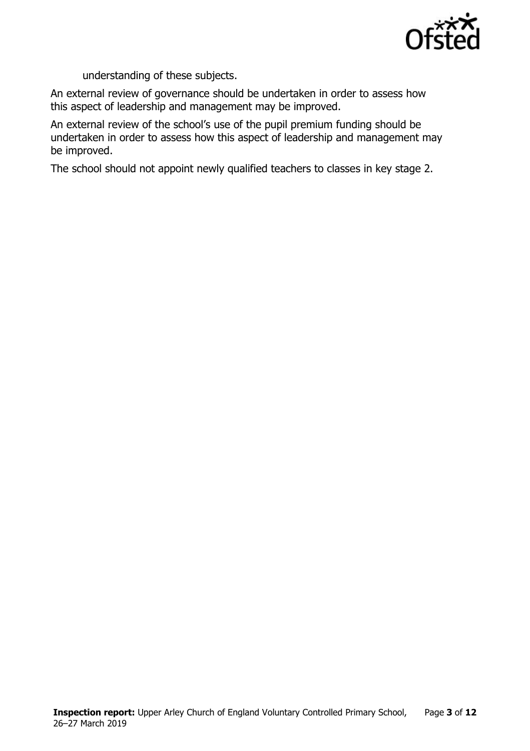

understanding of these subjects.

An external review of governance should be undertaken in order to assess how this aspect of leadership and management may be improved.

An external review of the school's use of the pupil premium funding should be undertaken in order to assess how this aspect of leadership and management may be improved.

The school should not appoint newly qualified teachers to classes in key stage 2.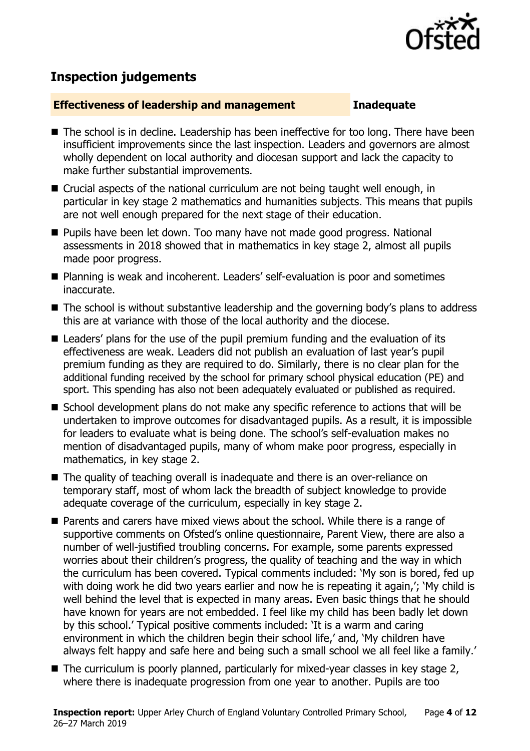

# **Inspection judgements**

#### **Effectiveness of leadership and management Inadequate**

- The school is in decline. Leadership has been ineffective for too long. There have been insufficient improvements since the last inspection. Leaders and governors are almost wholly dependent on local authority and diocesan support and lack the capacity to make further substantial improvements.
- Crucial aspects of the national curriculum are not being taught well enough, in particular in key stage 2 mathematics and humanities subjects. This means that pupils are not well enough prepared for the next stage of their education.
- **Pupils have been let down. Too many have not made good progress. National** assessments in 2018 showed that in mathematics in key stage 2, almost all pupils made poor progress.
- Planning is weak and incoherent. Leaders' self-evaluation is poor and sometimes inaccurate.
- The school is without substantive leadership and the governing body's plans to address this are at variance with those of the local authority and the diocese.
- Leaders' plans for the use of the pupil premium funding and the evaluation of its effectiveness are weak. Leaders did not publish an evaluation of last year's pupil premium funding as they are required to do. Similarly, there is no clear plan for the additional funding received by the school for primary school physical education (PE) and sport. This spending has also not been adequately evaluated or published as required.
- School development plans do not make any specific reference to actions that will be undertaken to improve outcomes for disadvantaged pupils. As a result, it is impossible for leaders to evaluate what is being done. The school's self-evaluation makes no mention of disadvantaged pupils, many of whom make poor progress, especially in mathematics, in key stage 2.
- The quality of teaching overall is inadequate and there is an over-reliance on temporary staff, most of whom lack the breadth of subject knowledge to provide adequate coverage of the curriculum, especially in key stage 2.
- Parents and carers have mixed views about the school. While there is a range of supportive comments on Ofsted's online questionnaire, Parent View, there are also a number of well-justified troubling concerns. For example, some parents expressed worries about their children's progress, the quality of teaching and the way in which the curriculum has been covered. Typical comments included: 'My son is bored, fed up with doing work he did two years earlier and now he is repeating it again,'; 'My child is well behind the level that is expected in many areas. Even basic things that he should have known for years are not embedded. I feel like my child has been badly let down by this school.' Typical positive comments included: 'It is a warm and caring environment in which the children begin their school life,' and, 'My children have always felt happy and safe here and being such a small school we all feel like a family.'
- The curriculum is poorly planned, particularly for mixed-year classes in key stage 2, where there is inadequate progression from one year to another. Pupils are too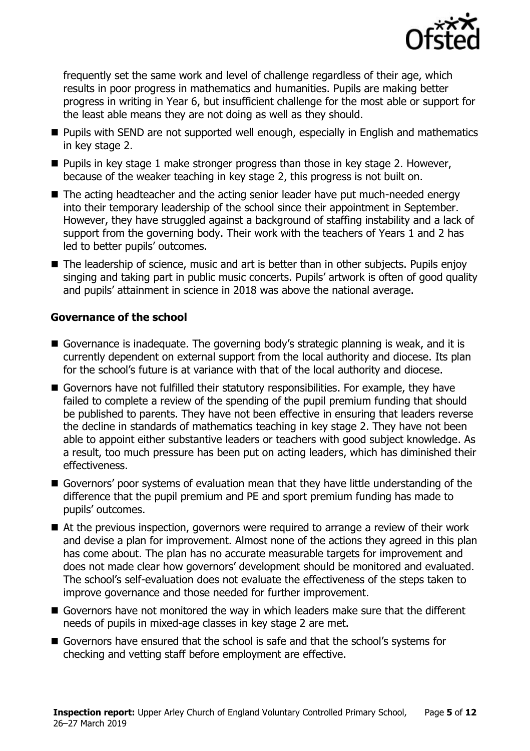

frequently set the same work and level of challenge regardless of their age, which results in poor progress in mathematics and humanities. Pupils are making better progress in writing in Year 6, but insufficient challenge for the most able or support for the least able means they are not doing as well as they should.

- **Pupils with SEND are not supported well enough, especially in English and mathematics** in key stage 2.
- **Pupils in key stage 1 make stronger progress than those in key stage 2. However,** because of the weaker teaching in key stage 2, this progress is not built on.
- The acting headteacher and the acting senior leader have put much-needed energy into their temporary leadership of the school since their appointment in September. However, they have struggled against a background of staffing instability and a lack of support from the governing body. Their work with the teachers of Years 1 and 2 has led to better pupils' outcomes.
- The leadership of science, music and art is better than in other subjects. Pupils enjoy singing and taking part in public music concerts. Pupils' artwork is often of good quality and pupils' attainment in science in 2018 was above the national average.

#### **Governance of the school**

- Governance is inadequate. The governing body's strategic planning is weak, and it is currently dependent on external support from the local authority and diocese. Its plan for the school's future is at variance with that of the local authority and diocese.
- Governors have not fulfilled their statutory responsibilities. For example, they have failed to complete a review of the spending of the pupil premium funding that should be published to parents. They have not been effective in ensuring that leaders reverse the decline in standards of mathematics teaching in key stage 2. They have not been able to appoint either substantive leaders or teachers with good subject knowledge. As a result, too much pressure has been put on acting leaders, which has diminished their effectiveness.
- Governors' poor systems of evaluation mean that they have little understanding of the difference that the pupil premium and PE and sport premium funding has made to pupils' outcomes.
- At the previous inspection, governors were required to arrange a review of their work and devise a plan for improvement. Almost none of the actions they agreed in this plan has come about. The plan has no accurate measurable targets for improvement and does not made clear how governors' development should be monitored and evaluated. The school's self-evaluation does not evaluate the effectiveness of the steps taken to improve governance and those needed for further improvement.
- Governors have not monitored the way in which leaders make sure that the different needs of pupils in mixed-age classes in key stage 2 are met.
- Governors have ensured that the school is safe and that the school's systems for checking and vetting staff before employment are effective.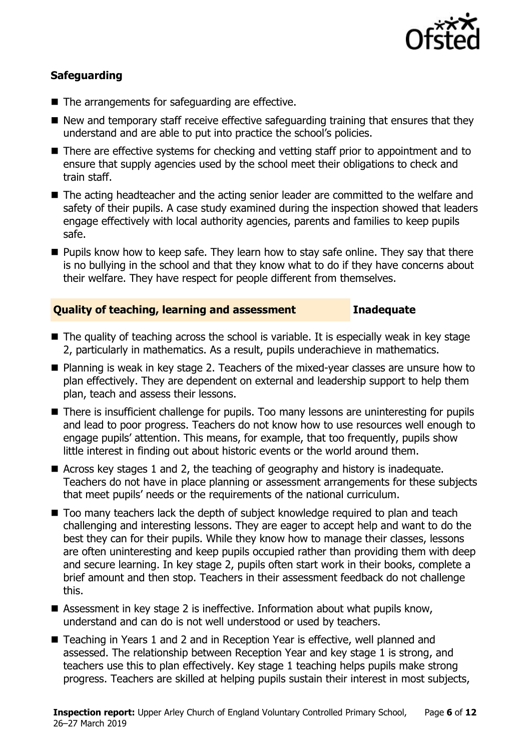

### **Safeguarding**

- The arrangements for safeguarding are effective.
- $\blacksquare$  New and temporary staff receive effective safeguarding training that ensures that they understand and are able to put into practice the school's policies.
- There are effective systems for checking and vetting staff prior to appointment and to ensure that supply agencies used by the school meet their obligations to check and train staff.
- The acting headteacher and the acting senior leader are committed to the welfare and safety of their pupils. A case study examined during the inspection showed that leaders engage effectively with local authority agencies, parents and families to keep pupils safe.
- **Pupils know how to keep safe. They learn how to stay safe online. They say that there** is no bullying in the school and that they know what to do if they have concerns about their welfare. They have respect for people different from themselves.

#### **Quality of teaching, learning and assessment Inadequate**

- The quality of teaching across the school is variable. It is especially weak in key stage 2, particularly in mathematics. As a result, pupils underachieve in mathematics.
- Planning is weak in key stage 2. Teachers of the mixed-year classes are unsure how to plan effectively. They are dependent on external and leadership support to help them plan, teach and assess their lessons.
- There is insufficient challenge for pupils. Too many lessons are uninteresting for pupils and lead to poor progress. Teachers do not know how to use resources well enough to engage pupils' attention. This means, for example, that too frequently, pupils show little interest in finding out about historic events or the world around them.
- Across key stages 1 and 2, the teaching of geography and history is inadequate. Teachers do not have in place planning or assessment arrangements for these subjects that meet pupils' needs or the requirements of the national curriculum.
- Too many teachers lack the depth of subject knowledge required to plan and teach challenging and interesting lessons. They are eager to accept help and want to do the best they can for their pupils. While they know how to manage their classes, lessons are often uninteresting and keep pupils occupied rather than providing them with deep and secure learning. In key stage 2, pupils often start work in their books, complete a brief amount and then stop. Teachers in their assessment feedback do not challenge this.
- Assessment in key stage 2 is ineffective. Information about what pupils know, understand and can do is not well understood or used by teachers.
- Teaching in Years 1 and 2 and in Reception Year is effective, well planned and assessed. The relationship between Reception Year and key stage 1 is strong, and teachers use this to plan effectively. Key stage 1 teaching helps pupils make strong progress. Teachers are skilled at helping pupils sustain their interest in most subjects,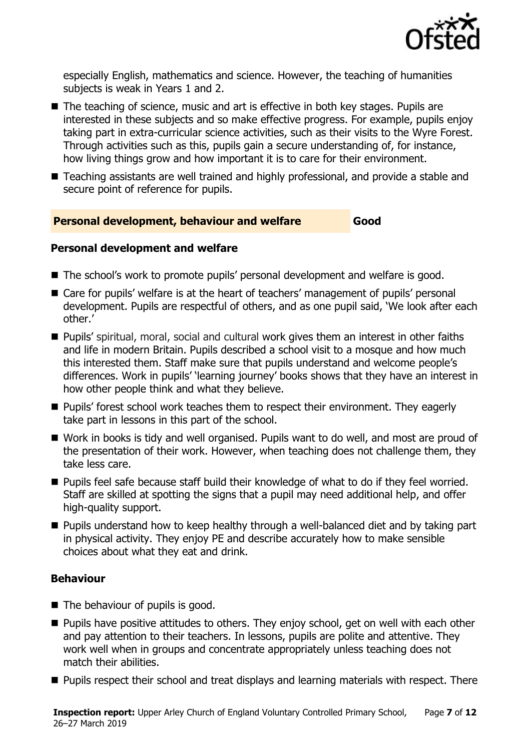

especially English, mathematics and science. However, the teaching of humanities subjects is weak in Years 1 and 2.

- The teaching of science, music and art is effective in both key stages. Pupils are interested in these subjects and so make effective progress. For example, pupils enjoy taking part in extra-curricular science activities, such as their visits to the Wyre Forest. Through activities such as this, pupils gain a secure understanding of, for instance, how living things grow and how important it is to care for their environment.
- Teaching assistants are well trained and highly professional, and provide a stable and secure point of reference for pupils.

#### **Personal development, behaviour and welfare Good**

#### **Personal development and welfare**

- The school's work to promote pupils' personal development and welfare is good.
- Care for pupils' welfare is at the heart of teachers' management of pupils' personal development. Pupils are respectful of others, and as one pupil said, 'We look after each other.'
- Pupils' spiritual, moral, social and cultural work gives them an interest in other faiths and life in modern Britain. Pupils described a school visit to a mosque and how much this interested them. Staff make sure that pupils understand and welcome people's differences. Work in pupils' 'learning journey' books shows that they have an interest in how other people think and what they believe.
- **Pupils'** forest school work teaches them to respect their environment. They eagerly take part in lessons in this part of the school.
- Work in books is tidy and well organised. Pupils want to do well, and most are proud of the presentation of their work. However, when teaching does not challenge them, they take less care.
- **Pupils feel safe because staff build their knowledge of what to do if they feel worried.** Staff are skilled at spotting the signs that a pupil may need additional help, and offer high-quality support.
- Pupils understand how to keep healthy through a well-balanced diet and by taking part in physical activity. They enjoy PE and describe accurately how to make sensible choices about what they eat and drink.

### **Behaviour**

- $\blacksquare$  The behaviour of pupils is good.
- **Pupils have positive attitudes to others. They enjoy school, get on well with each other** and pay attention to their teachers. In lessons, pupils are polite and attentive. They work well when in groups and concentrate appropriately unless teaching does not match their abilities.
- **Pupils respect their school and treat displays and learning materials with respect. There**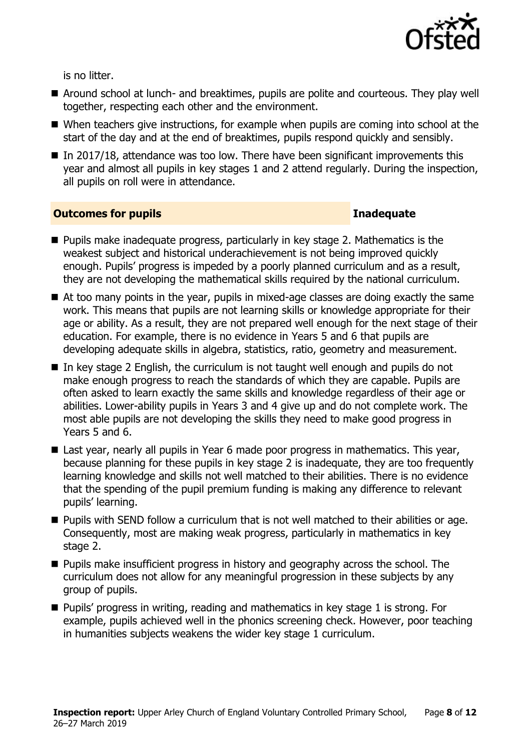

is no litter.

- Around school at lunch- and breaktimes, pupils are polite and courteous. They play well together, respecting each other and the environment.
- When teachers give instructions, for example when pupils are coming into school at the start of the day and at the end of breaktimes, pupils respond quickly and sensibly.
- In 2017/18, attendance was too low. There have been significant improvements this year and almost all pupils in key stages 1 and 2 attend regularly. During the inspection, all pupils on roll were in attendance.

#### **Outcomes for pupils Inadequate**

- **Pupils make inadequate progress, particularly in key stage 2. Mathematics is the** weakest subject and historical underachievement is not being improved quickly enough. Pupils' progress is impeded by a poorly planned curriculum and as a result, they are not developing the mathematical skills required by the national curriculum.
- At too many points in the year, pupils in mixed-age classes are doing exactly the same work. This means that pupils are not learning skills or knowledge appropriate for their age or ability. As a result, they are not prepared well enough for the next stage of their education. For example, there is no evidence in Years 5 and 6 that pupils are developing adequate skills in algebra, statistics, ratio, geometry and measurement.
- In key stage 2 English, the curriculum is not taught well enough and pupils do not make enough progress to reach the standards of which they are capable. Pupils are often asked to learn exactly the same skills and knowledge regardless of their age or abilities. Lower-ability pupils in Years 3 and 4 give up and do not complete work. The most able pupils are not developing the skills they need to make good progress in Years 5 and 6.
- Last year, nearly all pupils in Year 6 made poor progress in mathematics. This year, because planning for these pupils in key stage 2 is inadequate, they are too frequently learning knowledge and skills not well matched to their abilities. There is no evidence that the spending of the pupil premium funding is making any difference to relevant pupils' learning.
- **Pupils with SEND follow a curriculum that is not well matched to their abilities or age.** Consequently, most are making weak progress, particularly in mathematics in key stage 2.
- **Pupils make insufficient progress in history and geography across the school. The** curriculum does not allow for any meaningful progression in these subjects by any group of pupils.
- Pupils' progress in writing, reading and mathematics in key stage 1 is strong. For example, pupils achieved well in the phonics screening check. However, poor teaching in humanities subjects weakens the wider key stage 1 curriculum.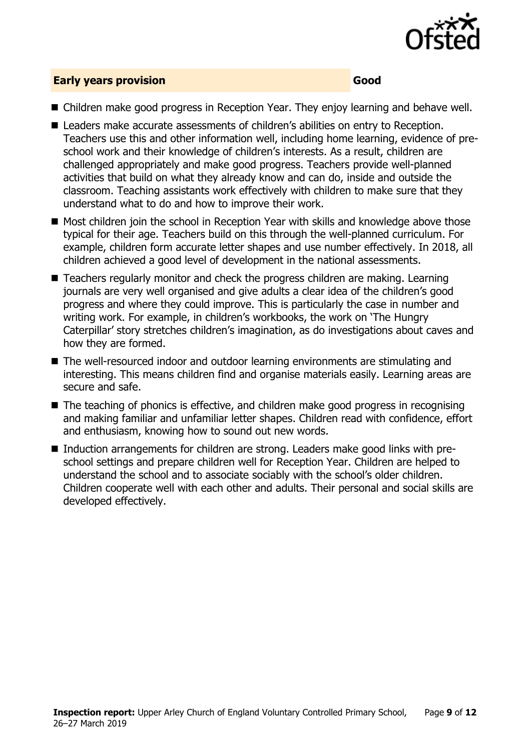

### **Early years provision Good**

- Children make good progress in Reception Year. They enjoy learning and behave well.
- Leaders make accurate assessments of children's abilities on entry to Reception. Teachers use this and other information well, including home learning, evidence of preschool work and their knowledge of children's interests. As a result, children are challenged appropriately and make good progress. Teachers provide well-planned activities that build on what they already know and can do, inside and outside the classroom. Teaching assistants work effectively with children to make sure that they understand what to do and how to improve their work.
- Most children join the school in Reception Year with skills and knowledge above those typical for their age. Teachers build on this through the well-planned curriculum. For example, children form accurate letter shapes and use number effectively. In 2018, all children achieved a good level of development in the national assessments.
- Teachers regularly monitor and check the progress children are making. Learning journals are very well organised and give adults a clear idea of the children's good progress and where they could improve. This is particularly the case in number and writing work. For example, in children's workbooks, the work on 'The Hungry Caterpillar' story stretches children's imagination, as do investigations about caves and how they are formed.
- The well-resourced indoor and outdoor learning environments are stimulating and interesting. This means children find and organise materials easily. Learning areas are secure and safe.
- The teaching of phonics is effective, and children make good progress in recognising and making familiar and unfamiliar letter shapes. Children read with confidence, effort and enthusiasm, knowing how to sound out new words.
- Induction arrangements for children are strong. Leaders make good links with preschool settings and prepare children well for Reception Year. Children are helped to understand the school and to associate sociably with the school's older children. Children cooperate well with each other and adults. Their personal and social skills are developed effectively.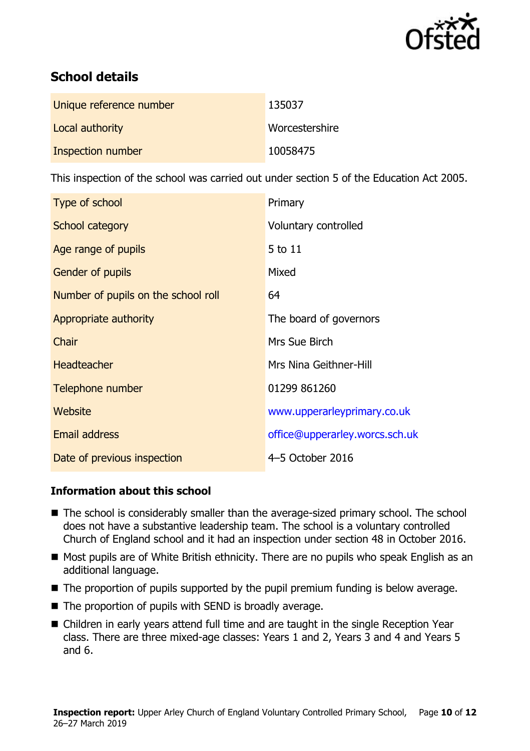

# **School details**

| Unique reference number | 135037         |
|-------------------------|----------------|
| Local authority         | Worcestershire |
| Inspection number       | 10058475       |

This inspection of the school was carried out under section 5 of the Education Act 2005.

| Type of school                      | Primary                        |
|-------------------------------------|--------------------------------|
| School category                     | Voluntary controlled           |
| Age range of pupils                 | 5 to 11                        |
| <b>Gender of pupils</b>             | Mixed                          |
| Number of pupils on the school roll | 64                             |
| Appropriate authority               | The board of governors         |
| Chair                               | Mrs Sue Birch                  |
| <b>Headteacher</b>                  | Mrs Nina Geithner-Hill         |
| Telephone number                    | 01299 861260                   |
| Website                             | www.upperarleyprimary.co.uk    |
| <b>Email address</b>                | office@upperarley.worcs.sch.uk |
| Date of previous inspection         | 4-5 October 2016               |

### **Information about this school**

- The school is considerably smaller than the average-sized primary school. The school does not have a substantive leadership team. The school is a voluntary controlled Church of England school and it had an inspection under section 48 in October 2016.
- Most pupils are of White British ethnicity. There are no pupils who speak English as an additional language.
- $\blacksquare$  The proportion of pupils supported by the pupil premium funding is below average.
- The proportion of pupils with SEND is broadly average.
- Children in early years attend full time and are taught in the single Reception Year class. There are three mixed-age classes: Years 1 and 2, Years 3 and 4 and Years 5 and 6.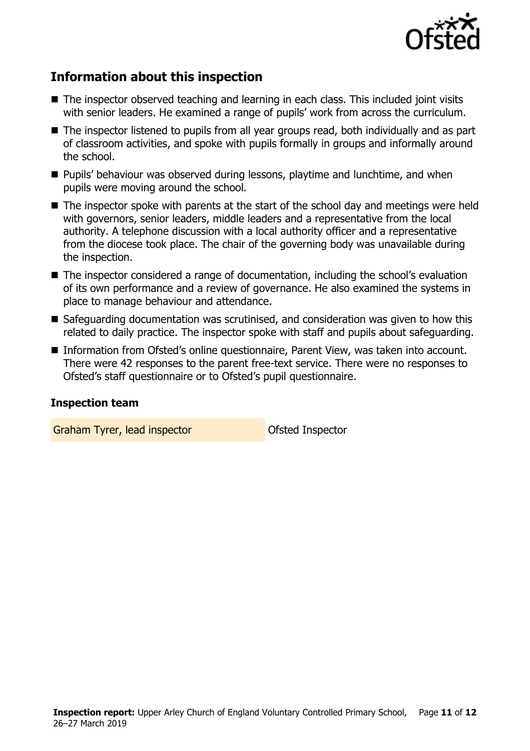

# **Information about this inspection**

- The inspector observed teaching and learning in each class. This included joint visits with senior leaders. He examined a range of pupils' work from across the curriculum.
- The inspector listened to pupils from all year groups read, both individually and as part of classroom activities, and spoke with pupils formally in groups and informally around the school.
- **Pupils' behaviour was observed during lessons, playtime and lunchtime, and when** pupils were moving around the school.
- The inspector spoke with parents at the start of the school day and meetings were held with governors, senior leaders, middle leaders and a representative from the local authority. A telephone discussion with a local authority officer and a representative from the diocese took place. The chair of the governing body was unavailable during the inspection.
- The inspector considered a range of documentation, including the school's evaluation of its own performance and a review of governance. He also examined the systems in place to manage behaviour and attendance.
- Safeguarding documentation was scrutinised, and consideration was given to how this related to daily practice. The inspector spoke with staff and pupils about safeguarding.
- **Information from Ofsted's online questionnaire, Parent View, was taken into account.** There were 42 responses to the parent free-text service. There were no responses to Ofsted's staff questionnaire or to Ofsted's pupil questionnaire.

#### **Inspection team**

Graham Tyrer, lead inspector **Calculate Contact Contact Contact Contact Contact Contact Contact Contact Contact Contact Contact Contact Contact Contact Contact Contact Contact Contact Contact Contact Contact Contact Contac**